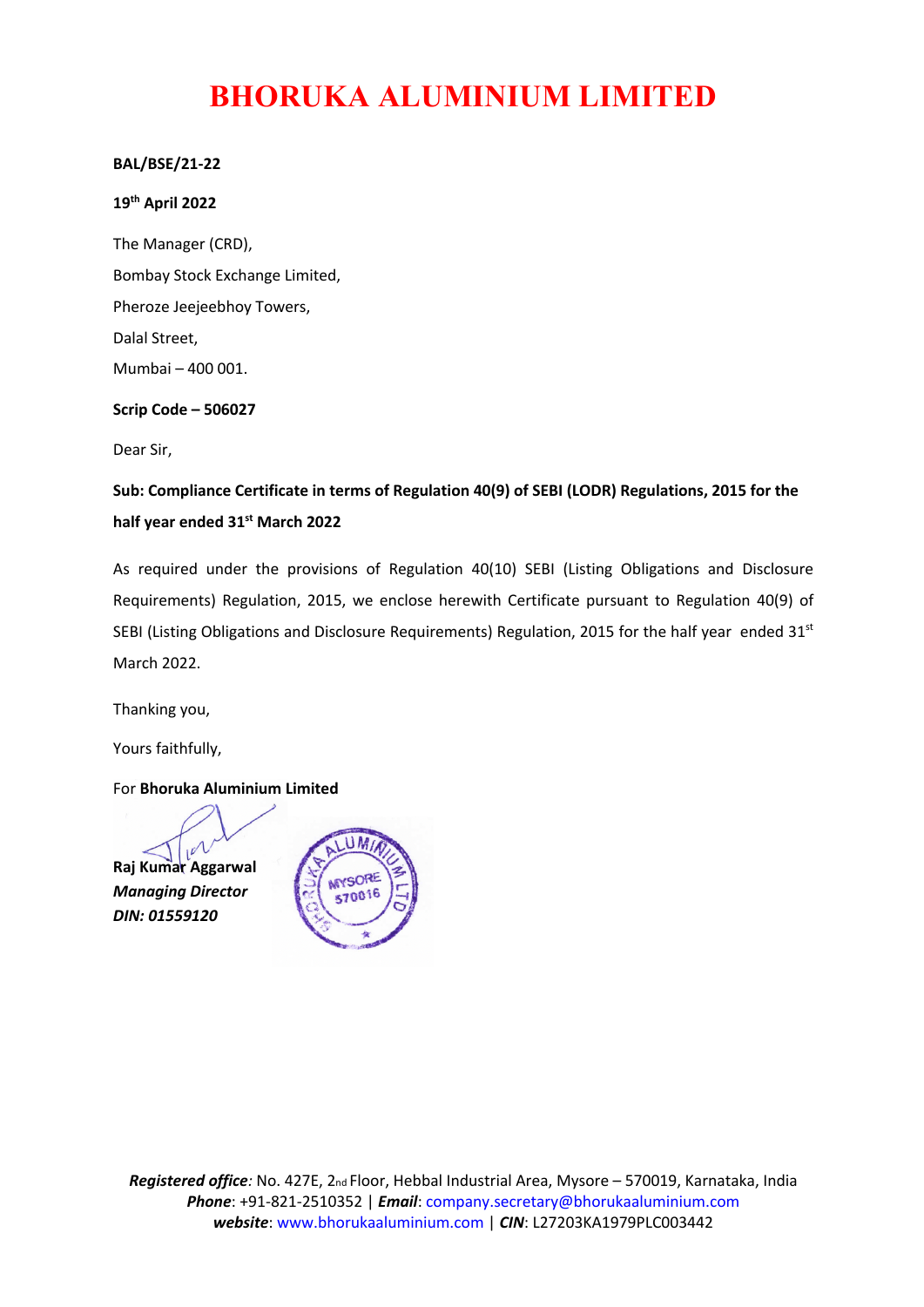# **BHORUKA ALUMINIUM LIMITED**

### **BAL/BSE/21-22**

#### **19th April 2022**

The Manager (CRD), Bombay Stock Exchange Limited, Pheroze Jeejeebhoy Towers, Dalal Street, Mumbai – 400 001.

#### **Scrip Code – 506027**

Dear Sir,

**Sub: Compliance Certificate in terms of Regulation 40(9) of SEBI (LODR) Regulations, 2015 for the half year ended 31st March 2022**

As required under the provisions of Regulation 40(10) SEBI (Listing Obligations and Disclosure Requirements) Regulation, 2015, we enclose herewith Certificate pursuant to Regulation 40(9) of SEBI (Listing Obligations and Disclosure Requirements) Regulation, 2015 for the half year ended 31<sup>st</sup> March 2022.

Thanking you,

Yours faithfully,

For **Bhoruka Aluminium Limited**

**Raj Kumar Aggarwal** *Managing Director DIN: 01559120*